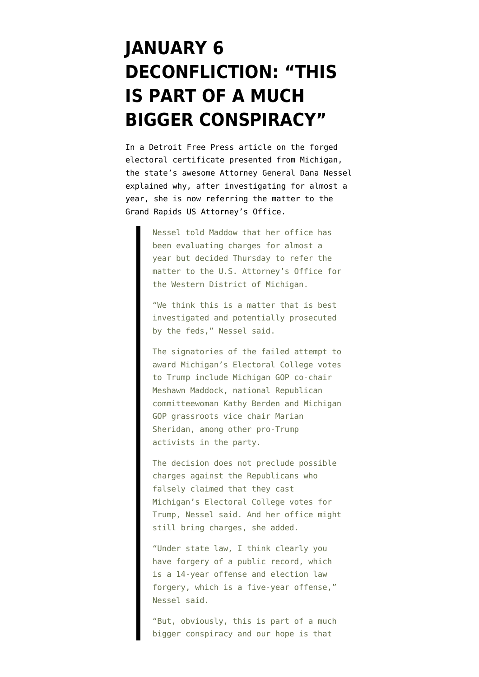## **[JANUARY 6](https://www.emptywheel.net/2022/01/15/january-6-deconfliction-this-is-part-of-a-much-bigger-conspiracy/) [DECONFLICTION: "THIS](https://www.emptywheel.net/2022/01/15/january-6-deconfliction-this-is-part-of-a-much-bigger-conspiracy/) [IS PART OF A MUCH](https://www.emptywheel.net/2022/01/15/january-6-deconfliction-this-is-part-of-a-much-bigger-conspiracy/) [BIGGER CONSPIRACY"](https://www.emptywheel.net/2022/01/15/january-6-deconfliction-this-is-part-of-a-much-bigger-conspiracy/)**

In a [Detroit Free Press article](https://eu.freep.com/story/news/politics/elections/2022/01/14/nessel-gop-trump-feds/6522173001/) on the [forged](https://www.emptywheel.net/2022/01/12/a-look-at-michigans-alternate-electors/) [electoral certificate](https://www.emptywheel.net/2022/01/12/a-look-at-michigans-alternate-electors/) presented from Michigan, the state's awesome Attorney General Dana Nessel explained why, after investigating for almost a year, she is now referring the matter to the Grand Rapids US Attorney's Office.

> Nessel told Maddow that her office has been evaluating charges for almost a year but decided Thursday to refer the matter to the U.S. Attorney's Office for the Western District of Michigan.

"We think this is a matter that is best investigated and potentially prosecuted by the feds," Nessel said.

The signatories of the failed attempt to award Michigan's Electoral College votes to Trump include Michigan GOP co-chair Meshawn Maddock, national Republican committeewoman Kathy Berden and Michigan GOP grassroots vice chair Marian Sheridan, among other pro-Trump activists in the party.

The decision does not preclude possible charges against the Republicans who falsely claimed that they cast Michigan's Electoral College votes for Trump, Nessel said. And her office might still bring charges, she added.

"Under state law, I think clearly you have forgery of a public record, which is a 14-year offense and election law forgery, which is a five-year offense," Nessel said.

"But, obviously, this is part of a much bigger conspiracy and our hope is that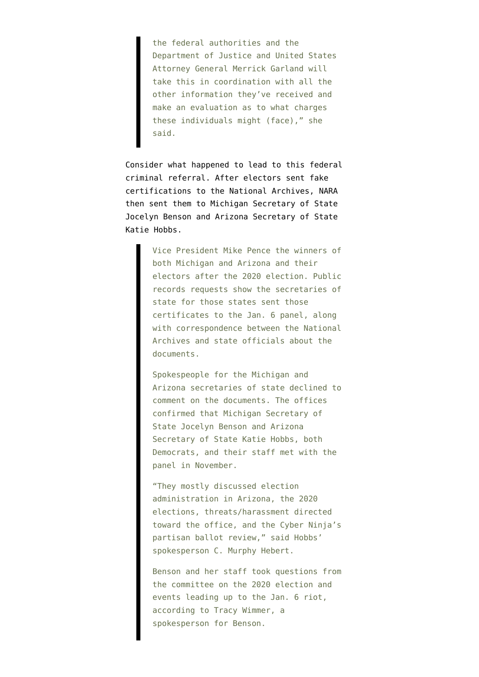the federal authorities and the Department of Justice and United States Attorney General Merrick Garland will take this in coordination with all the other information they've received and make an evaluation as to what charges these individuals might (face)," she said.

Consider what happened to lead to this federal criminal referral. After electors sent fake certifications to the National Archives, NARA then [sent them](https://www.politico.com/news/2022/01/10/jan-6-committee-ramps-up-state-level-investigation-526752) to Michigan Secretary of State Jocelyn Benson and Arizona Secretary of State Katie Hobbs.

> Vice President Mike Pence the winners of both Michigan and Arizona and their electors after the 2020 election. Public records requests show the secretaries of state for those states sent those certificates to the Jan. 6 panel, along with correspondence between the National Archives and state officials about the documents.

> Spokespeople for the Michigan and Arizona secretaries of state declined to comment on the documents. The offices confirmed that Michigan Secretary of State Jocelyn Benson and Arizona Secretary of State Katie Hobbs, both Democrats, and their staff met with the panel in November.

> "They mostly discussed election administration in Arizona, the 2020 elections, threats/harassment directed toward the office, and the Cyber Ninja's partisan ballot review," said Hobbs' spokesperson C. Murphy Hebert.

> Benson and her staff took questions from the committee on the 2020 election and events leading up to the Jan. 6 riot, according to Tracy Wimmer, a spokesperson for Benson.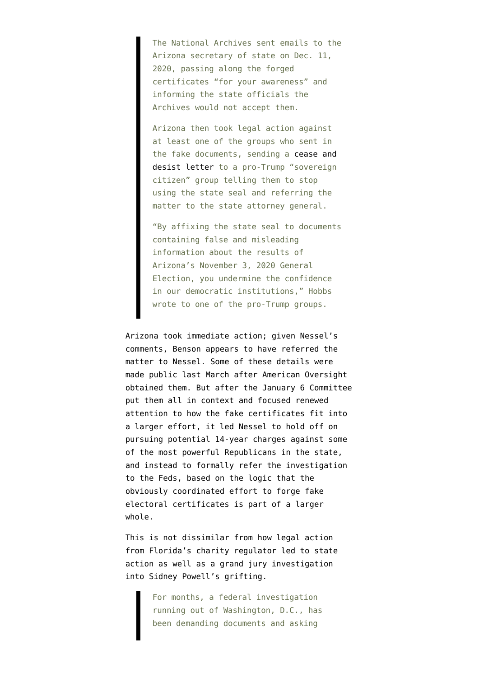The National Archives sent emails to the Arizona secretary of state on Dec. 11, 2020, passing along the forged certificates "for your awareness" and informing the state officials the Archives would not accept them.

Arizona then took legal action against at least one of the groups who sent in the fake documents, sending a [cease and](https://www.politico.com/f/?id=0000017e-368d-d8d6-a3fe-b7ad01d80000) [desist letter t](https://www.politico.com/f/?id=0000017e-368d-d8d6-a3fe-b7ad01d80000)o a pro-Trump "sovereign citizen" group telling them to stop using the state seal and referring the matter to the state attorney general.

"By affixing the state seal to documents containing false and misleading information about the results of Arizona's November 3, 2020 General Election, you undermine the confidence in our democratic institutions," Hobbs wrote to one of the pro-Trump groups.

Arizona took immediate action; given Nessel's comments, Benson appears to have referred the matter to Nessel. Some of these details were [made public](https://www.americanoversight.org/american-oversight-obtains-seven-phony-certificates-of-pro-trump-electors) last March after American Oversight obtained them. But after the January 6 Committee put them all in context and focused renewed attention to how the fake certificates fit into a larger effort, it led Nessel to hold off on pursuing potential 14-year charges against some of the most powerful Republicans in the state, and instead to formally refer the investigation to the Feds, based on the logic that the obviously coordinated effort to forge fake electoral certificates is part of a larger whole.

This is not dissimilar from how [legal action](https://www.thedailybeast.com/feds-are-asking-questions-about-sidney-powell-and-her-pro-trump-group) [from Florida's charity regulator](https://www.thedailybeast.com/feds-are-asking-questions-about-sidney-powell-and-her-pro-trump-group) led to state action as well as a grand jury investigation into Sidney Powell's grifting.

> For months, a federal investigation running out of Washington, D.C., has been demanding documents and asking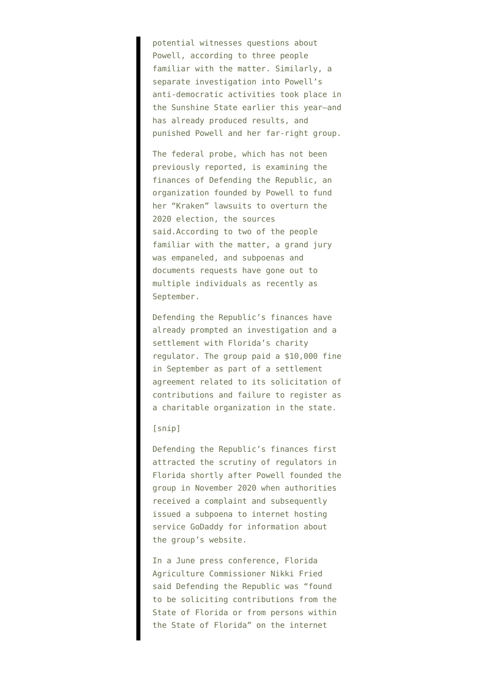potential witnesses questions about Powell, according to three people familiar with the matter. Similarly, a separate investigation into Powell's anti-democratic activities took place in the Sunshine State earlier this year—and has already produced results, and punished Powell and her far-right group.

The federal probe, which has not been previously reported, is examining the finances of Defending the Republic, an organization founded by Powell to fund her "Kraken" lawsuits to overturn the 2020 election, the sources said.According to two of the people familiar with the matter, a grand jury was empaneled, and subpoenas and documents requests have gone out to multiple individuals as recently as September.

Defending the Republic's finances have already prompted an investigation and a settlement with Florida's charity regulator. The group paid a \$10,000 fine in September as part of a settlement agreement related to its solicitation of contributions and failure to register as a charitable organization in the state.

## [snip]

Defending the Republic's finances first attracted the scrutiny of regulators in Florida shortly after Powell founded the group in November 2020 when authorities received a complaint and subsequently issued a subpoena to internet hosting service GoDaddy for information about the group's website.

In a June press conference, Florida Agriculture Commissioner Nikki Fried said Defending the Republic was "found to be soliciting contributions from the State of Florida or from persons within the State of Florida" on the internet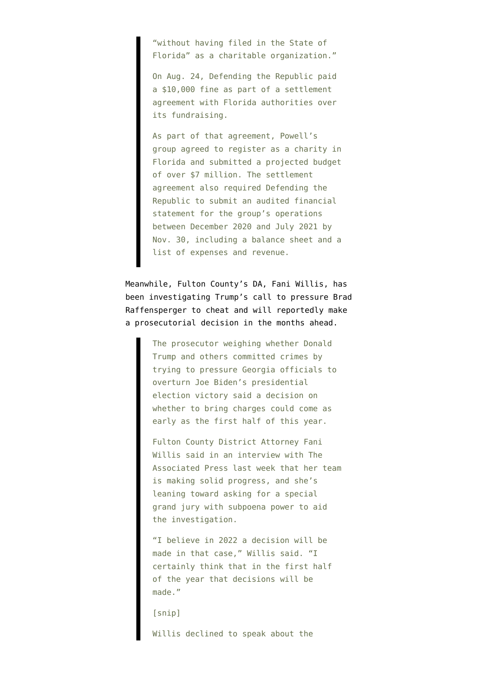"without having filed in the State of Florida" as a charitable organization."

On Aug. 24, Defending the Republic paid a \$10,000 fine as part of a settlement agreement with Florida authorities over its fundraising.

As part of that agreement, Powell's group agreed to register as a charity in Florida and submitted a projected budget of over \$7 million. The settlement agreement also required Defending the Republic to submit an audited financial statement for the group's operations between December 2020 and July 2021 by Nov. 30, including a balance sheet and a list of expenses and revenue.

Meanwhile, Fulton County's DA, Fani Willis, [has](https://www.wsbtv.com/news/local/fulton-county/fulton-da-investigating-trump-closer-decision-charges/P7KZXR7IVFFTHN65BFYM7PLLNE/) [been investigating](https://www.wsbtv.com/news/local/fulton-county/fulton-da-investigating-trump-closer-decision-charges/P7KZXR7IVFFTHN65BFYM7PLLNE/) Trump's call to pressure Brad Raffensperger to cheat and will reportedly make a prosecutorial decision in the months ahead.

> The prosecutor weighing whether Donald Trump and others committed crimes by trying to pressure Georgia officials to overturn Joe Biden's presidential election victory said a decision on whether to bring charges could come as early as the first half of this year.

Fulton County District Attorney Fani Willis said in an interview with The Associated Press last week that her team is making solid progress, and she's leaning toward asking for a special grand jury with subpoena power to aid the investigation.

"I believe in 2022 a decision will be made in that case," Willis said. "I certainly think that in the first half of the year that decisions will be made."

[snip]

Willis declined to speak about the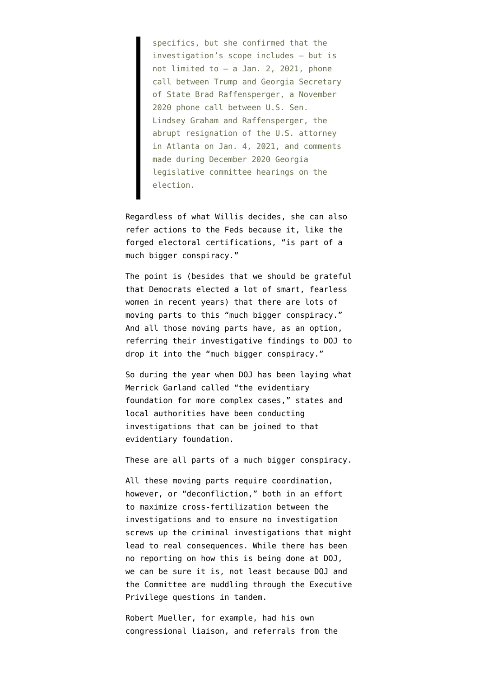specifics, but she confirmed that the investigation's scope includes — but is not limited to — a Jan. 2, 2021, phone call between Trump and Georgia Secretary of State Brad Raffensperger, a November 2020 phone call between U.S. Sen. Lindsey Graham and Raffensperger, the abrupt resignation of the U.S. attorney in Atlanta on Jan. 4, 2021, and comments made during December 2020 Georgia legislative committee hearings on the election.

Regardless of what Willis decides, she can also refer actions to the Feds because it, like the forged electoral certifications, "is part of a much bigger conspiracy."

The point is (besides that we should be grateful that Democrats elected a lot of smart, fearless women in recent years) that there are lots of moving parts to this "much bigger conspiracy." And all those moving parts have, as an option, referring their investigative findings to DOJ to drop it into the "much bigger conspiracy."

So during the year when DOJ has been laying what Merrick Garland [called](https://www.justice.gov/opa/speech/attorney-general-merrick-b-garland-delivers-remarks-first-anniversary-attack-capitol) "the evidentiary foundation for more complex cases," states and local authorities have been conducting investigations that can be joined to that evidentiary foundation.

These are all parts of a much bigger conspiracy.

All these moving parts require coordination, however, or ["deconfliction,](https://www.merriam-webster.com/dictionary/deconfliction#:~:text=Definition%20of%20deconfliction,risk%20of%20accidents%20or%20incidents%20%E2%80%A6)" both in an effort to maximize cross-fertilization between the investigations and to ensure no investigation screws up the criminal investigations that might lead to real consequences. While there has been no reporting on how this is being done at DOJ, we can be sure it is, not least because DOJ and the Committee are muddling through the Executive Privilege questions in tandem.

Robert Mueller, for example, had his own congressional liaison, and referrals from the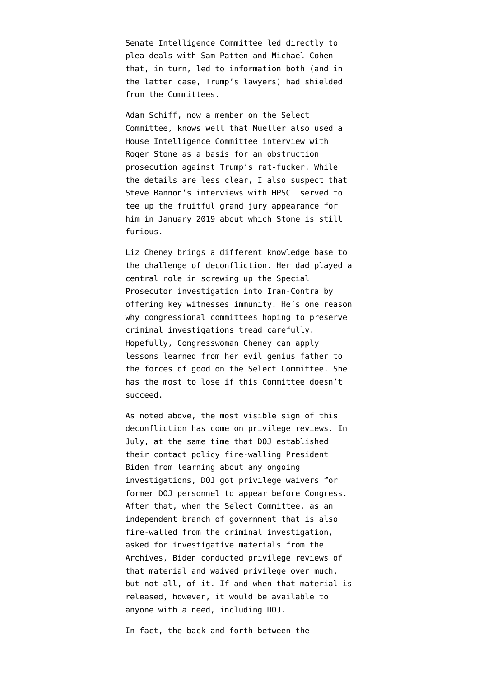Senate Intelligence Committee led directly to plea deals with Sam Patten and Michael Cohen that, in turn, led to information both (and in the latter case, Trump's lawyers) had shielded from the Committees.

Adam Schiff, now a member on the Select Committee, knows well that Mueller also used a House Intelligence Committee interview with Roger Stone as a basis for an obstruction prosecution against Trump's rat-fucker. While the details are less clear, I also suspect that [Steve Bannon's interviews with HPSCI](https://www.emptywheel.net/2020/05/16/steven-bannons-bas-relief-confession-that-trump-told-him-to-deny-discussing-sanctions/) served to tee up the fruitful grand jury appearance for him in January 2019 about which Stone is still furious.

Liz Cheney brings a different knowledge base to the challenge of deconfliction. Her dad played a central role in screwing up the Special Prosecutor investigation into Iran-Contra by offering key witnesses immunity. He's [one reason](https://www.brown.edu/Research/Understanding_the_Iran_Contra_Affair/h-thereport.php) why congressional committees hoping to preserve criminal investigations tread carefully. Hopefully, Congresswoman Cheney can apply lessons learned from her evil genius father to the forces of good on the Select Committee. She has the most to lose if this Committee doesn't succeed.

As noted above, the most visible sign of this deconfliction has come on privilege reviews. In July, at the same time that DOJ established their contact policy fire-walling President Biden from learning about any ongoing investigations, DOJ [got privilege waivers](https://www.emptywheel.net/2021/08/08/why-did-doj-delay-seven-months-before-obtaining-jeffrey-rosens-testimony/) for former DOJ personnel to appear before Congress. After that, when the Select Committee, as [an](https://www.emptywheel.net/2021/12/03/the-executive-privilege-puzzle-the-co-equal-branch-of-government/) [independent branch of government](https://www.emptywheel.net/2021/12/03/the-executive-privilege-puzzle-the-co-equal-branch-of-government/) that is also fire-walled from the criminal investigation, asked for investigative materials from the Archives, Biden conducted privilege reviews of that material and waived privilege over much, but not all, of it. If and when that material is released, however, it would be available to anyone with a need, including DOJ.

In fact, the back and forth between the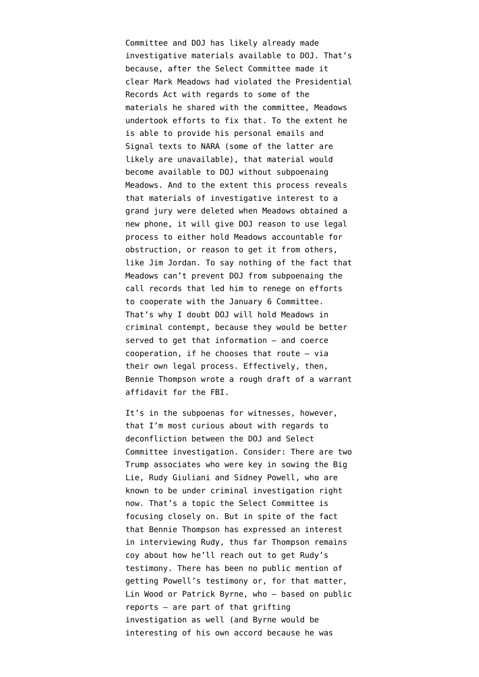Committee and DOJ has likely already made investigative materials available to DOJ. That's because, after the Select Committee [made it](https://www.politico.com/news/2021/12/09/national-archives-meadows-trump-524043) [clear](https://www.politico.com/news/2021/12/09/national-archives-meadows-trump-524043) Mark Meadows had violated the Presidential Records Act with regards to some of the materials he shared with the committee, Meadows undertook efforts to fix that. To the extent he is able to provide his personal emails and Signal texts to NARA (some of the latter are likely are unavailable), that material [would](https://www.emptywheel.net/2021/12/09/bennie-thompson-will-need-to-bill-fbi-for-the-affidavits-hes-writing-for-them/) [become available](https://www.emptywheel.net/2021/12/09/bennie-thompson-will-need-to-bill-fbi-for-the-affidavits-hes-writing-for-them/) to DOJ without subpoenaing Meadows. And to the extent this process reveals that materials of investigative interest to a grand jury were deleted when Meadows obtained a new phone, it will give DOJ reason to use legal process to either hold Meadows accountable for obstruction, or reason to get it from others, like Jim Jordan. To say nothing of the fact that Meadows can't prevent DOJ from subpoenaing the call records that led him to renege on efforts to cooperate with the January 6 Committee. That's why I doubt DOJ will hold Meadows in criminal contempt, because they would be better served to get that information — and coerce cooperation, if he chooses that route — via their own legal process. Effectively, then, Bennie Thompson [wrote a rough draft](https://www.emptywheel.net/2021/12/09/bennie-thompson-will-need-to-bill-fbi-for-the-affidavits-hes-writing-for-them/) of a warrant affidavit for the FBI.

It's in the subpoenas for witnesses, however, that I'm most curious about with regards to deconfliction between the DOJ and Select Committee investigation. Consider: There are two Trump associates who were key in sowing the Big Lie, Rudy Giuliani and Sidney Powell, who are known to be under criminal investigation right now. That's a topic the Select Committee is focusing closely on. But in spite of the fact that Bennie Thompson [has expressed an interest](https://twitter.com/ZcohenCNN/status/1480980385081307136) in interviewing Rudy, thus far Thompson remains coy about how he'll reach out to get Rudy's testimony. There has been no public mention of getting Powell's testimony or, for that matter, Lin Wood or Patrick Byrne, who — based on public reports — are part of that grifting investigation as well (and Byrne would be interesting of his own accord because he was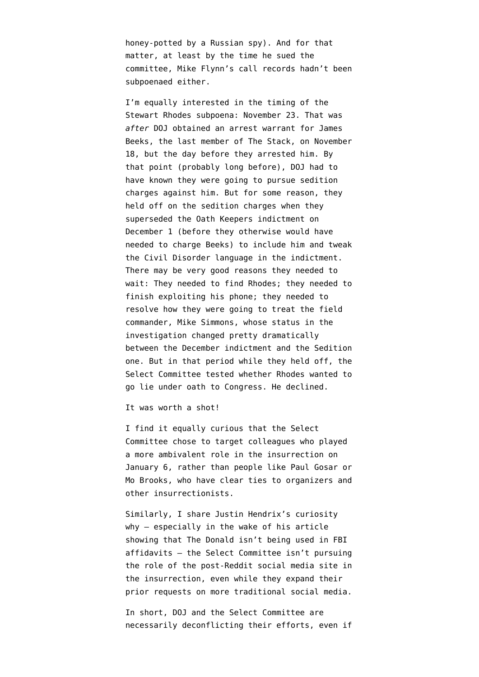honey-potted by a Russian spy). And for that matter, at least by the time he sued the committee, Mike Flynn's [call records hadn't been](https://www.emptywheel.net/2021/12/22/mike-flynn-forgets-he-was-shit-canned-by-presidents-of-both-parties/) [subpoenaed either.](https://www.emptywheel.net/2021/12/22/mike-flynn-forgets-he-was-shit-canned-by-presidents-of-both-parties/)

I'm equally interested in the timing of [the](https://january6th.house.gov/sites/democrats.january6th.house.gov/files/20211123%20Rhodes%20Letter.pdf) [Stewart Rhodes subpoena:](https://january6th.house.gov/sites/democrats.january6th.house.gov/files/20211123%20Rhodes%20Letter.pdf) November 23. That was *after* DOJ obtained an [arrest warrant for James](https://extremism.gwu.edu/sites/g/files/zaxdzs2191/f/James%20Beeks%20Statement%20of%20Facts.pdf) [Beeks](https://extremism.gwu.edu/sites/g/files/zaxdzs2191/f/James%20Beeks%20Statement%20of%20Facts.pdf), the last member of The Stack, on November 18, but the day before they arrested him. By that point (probably long before), DOJ had to have known they were going to pursue sedition charges against him. But for some reason, they held off on the sedition charges when [they](https://storage.courtlistener.com/recap/gov.uscourts.dcd.238102/gov.uscourts.dcd.238102.513.0.pdf) [superseded the Oath Keepers indictment](https://storage.courtlistener.com/recap/gov.uscourts.dcd.238102/gov.uscourts.dcd.238102.513.0.pdf) on December 1 (before they otherwise would have needed to charge Beeks) to include him and tweak the Civil Disorder language in the indictment. There may be very good reasons they needed to wait: They needed to find Rhodes; they needed to finish exploiting his phone; they needed to resolve how they were going to treat the field commander, Mike Simmons, whose status in the investigation changed pretty dramatically between the December indictment and the Sedition one. But in that period while they held off, the Select Committee tested whether Rhodes wanted to go lie under oath to Congress. He declined.

[It was worth a shot](https://www.emptywheel.net/2021/12/09/doj-already-debunked-the-lies-ali-alexander-is-about-to-tell-congress/)!

I find it equally curious that the Select Committee chose to target colleagues who played a more ambivalent role in the insurrection on January 6, rather than people like Paul Gosar or Mo Brooks, who have clear ties to organizers and other insurrectionists.

Similarly, I share [Justin Hendrix's curiosity](https://twitter.com/justinhendrix/status/1481834876995350528) why — especially in the wake of [his article](https://www.justsecurity.org/79446/the-absence-of-the-donald/) showing that The Donald isn't being used in FBI affidavits — the Select Committee isn't pursuing the role of the post-Reddit social media site in the insurrection, even while they [expand their](https://january6th.house.gov/news/press-releases/select-committee-subpoenas-social-media-companies-records-related-january-6th) [prior requests](https://january6th.house.gov/news/press-releases/select-committee-subpoenas-social-media-companies-records-related-january-6th) on more traditional social media.

In short, DOJ and the Select Committee are necessarily deconflicting their efforts, even if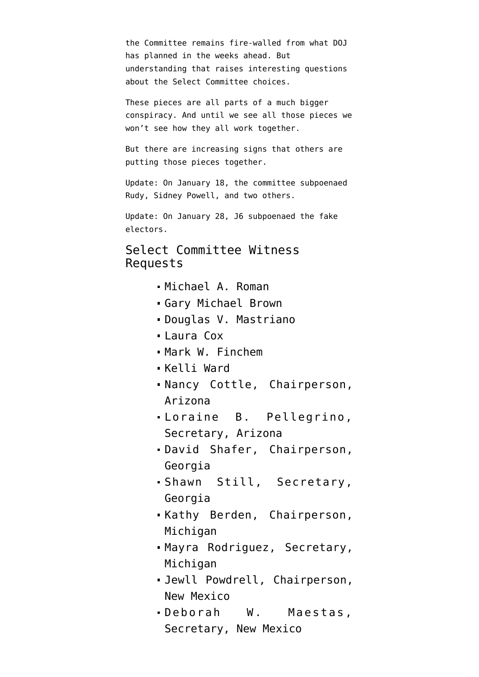the Committee remains fire-walled from what DOJ has planned in the weeks ahead. But understanding that raises interesting questions about the Select Committee choices.

These pieces are all parts of a much bigger conspiracy. And until we see all those pieces we won't see how they all work together.

But there are increasing signs that others are putting those pieces together.

Update: On January 18, the committee subpoenaed Rudy, Sidney Powell, and two others.

Update: On January 28, J6 subpoenaed the fake electors.

## Select Committee Witness Requests

- [Michael A. Roman](https://january6th.house.gov/sites/democrats.january6th.house.gov/files/2022-2-15.BGT%20Letter%20to%20Roman-Cover%20Letter%20and%20Schedule_Redacted.pdf)
- [Gary Michael Brown](https://january6th.house.gov/sites/democrats.january6th.house.gov/files/2022-2-15.BGT%20Letter%20to%20Brown%20-%20Cover%20Letter%20and%20Schedule_Redacted.pdf)
- [Douglas V. Mastriano](https://january6th.house.gov/sites/democrats.january6th.house.gov/files/2022-2-15.BGT%20Letter%20to%20Mastriano%20-%20Cover%20Letter%20and%20Schedule_Redacted.pdf)
- [Laura Cox](https://january6th.house.gov/sites/democrats.january6th.house.gov/files/2022-2-15.BGT%20Letter%20to%20Cox%20-%20Cover%20Letter%20and%20Schedule_Redacted.pdf)
- [Mark W. Finchem](https://january6th.house.gov/sites/democrats.january6th.house.gov/files/2022-2-15.BGT%20Letter%20to%20Mark%20Finchem-Cover%20Letter%20and%20Schedule_Redacted.pdf)
- [Kelli Ward](https://january6th.house.gov/sites/democrats.january6th.house.gov/files/2022-2-15.BGT%20Letter%20to%20Kelli%20Ward%20-%20Cover%20Letter%20and%20Schedule_Redacted.pdf)
- [Nancy Cottle](https://january6th.house.gov/sites/democrats.january6th.house.gov/files/2022-1-28.BGT%20Letter%20to%20Cottle%20-%20Cover%20Letter%20and%20Schedule_Redacted.pdf), Chairperson, Arizona
- [Loraine B. Pellegrino,](https://january6th.house.gov/sites/democrats.january6th.house.gov/files/2022-1-28.BGT%20Letter%20to%20Pellegrino%20-%20Cover%20Letter%20and%20Schedule_Redacted.pdf) Secretary, Arizona
- [David Shafer](https://january6th.house.gov/sites/democrats.january6th.house.gov/files/2022-1-28.BGT%20Letter%20to%20Shafer%20-%20Cover%20Letter%20and%20Schedule_Redacted.pdf), Chairperson, Georgia
- [Shawn Still](https://january6th.house.gov/sites/democrats.january6th.house.gov/files/2022-1-28.BGT%20Letter%20to%20Still%20-%20Cover%20Letter%20and%20Schedule_Redacted.pdf), Secretary, Georgia
- [Kathy Berden](https://january6th.house.gov/sites/democrats.january6th.house.gov/files/2022-1-28.BGT%20Letter%20to%20Berden%20-%20Cover%20Letter%20and%20Schedule_Redacted.pdf), Chairperson, Michigan
- [Mayra Rodriguez,](https://january6th.house.gov/sites/democrats.january6th.house.gov/files/2022-1-28.BGT%20Letter%20to%20Rodriguez%20-%20Cover%20Letter%20and%20Schedule_Redacted.pdf) Secretary, Michigan
- [Jewll Powdrell](https://january6th.house.gov/sites/democrats.january6th.house.gov/files/2022-1-28.BGT%20Letter%20to%20Powdrell%20-%20Cover%20Letter%20and%20Schedule_Redacted.pdf), Chairperson, New Mexico
- [Deborah W. Maestas](https://january6th.house.gov/sites/democrats.january6th.house.gov/files/2022-1-28.BGT%20Letter%20to%20Maestas%20-%20Cover%20Letter%20and%20Schedule_Redacted.pdf), Secretary, New Mexico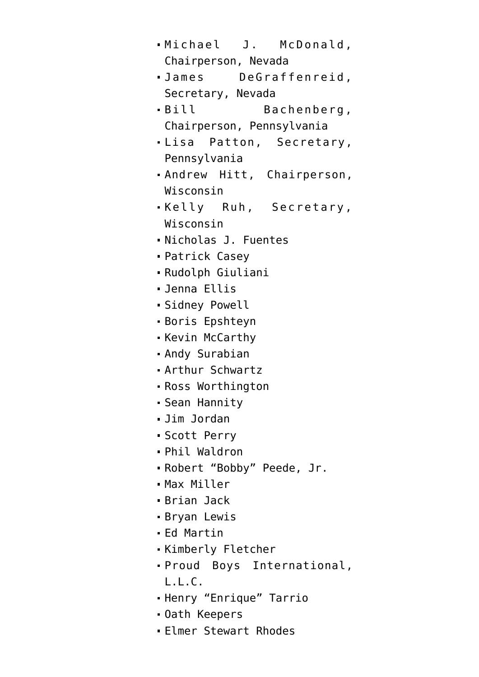- [Michael J. McDonald](https://january6th.house.gov/sites/democrats.january6th.house.gov/files/2022-1-28.BGT%20Letter%20to%20McDonald%20-%20Cover%20Letter%20and%20Schedule_Redacted.pdf), Chairperson, Nevada
- [James DeGraffenreid](https://january6th.house.gov/sites/democrats.january6th.house.gov/files/2022-1-28.BGT%20Letter%20to%20DeGraffenreid%20-%20Cover%20Letter%20and%20Schedule_Redacted.pdf), Secretary, Nevada
- [Bill Bachenberg](https://january6th.house.gov/sites/democrats.january6th.house.gov/files/2022-1-28.BGT%20Letter%20to%20Bachenberg%20-%20Cover%20Letter%20and%20Schedule_Redacted.pdf), Chairperson, Pennsylvania
- [Lisa Patton](https://january6th.house.gov/sites/democrats.january6th.house.gov/files/2022-1-28.BGT%20Letter%20to%20Patton%20-%20Cover%20Letter%20and%20Schedule_Redacted.pdf), Secretary, Pennsylvania
- [Andrew Hitt,](https://january6th.house.gov/sites/democrats.january6th.house.gov/files/2022-1-28.BGT%20Letter%20to%20Hitt%20-%20Cover%20Letter%20and%20Schedule_Redacted_0.pdf) Chairperson, Wisconsin
- [Kelly Ruh,](https://january6th.house.gov/sites/democrats.january6th.house.gov/files/2022-1-28.BGT%20Letter%20to%20Ruh%20-%20Cover%20Letter%20and%20Schedule_Redacted.pdf) Secretary, Wisconsin
- [Nicholas J. Fuentes](https://january6th.house.gov/sites/democrats.january6th.house.gov/files/2022-1-19.BGT%20Letter%20to%20Fuentes%20-%20Cover%20Letter%20and%20Schedule_Redacted2.pdf)
- [Patrick Casey](https://january6th.house.gov/sites/democrats.january6th.house.gov/files/2022-1-19.BGT%20Letter%20to%20Casey%20-%20Cover%20Letter%20and%20Schedule_Redacted2.pdf)
- [Rudolph Giuliani](https://january6th.house.gov/sites/democrats.january6th.house.gov/files/2022-1-18.BGT%20Letter%20to%20Giuliani_Redacted.pdf)
- [Jenna Ellis](https://january6th.house.gov/sites/democrats.january6th.house.gov/files/2022-1-18.BGT%20letter%20to%20Ellis_Redacted%20(002).pdf)
- [Sidney Powell](https://january6th.house.gov/sites/democrats.january6th.house.gov/files/2022-1-18.BGT%20Letter%20to%20Powell_Redacted.pdf)
- [Boris Epshteyn](https://january6th.house.gov/sites/democrats.january6th.house.gov/files/2022-1-18.BGT%20Letter%20to%20Epshteyn_Redacted.pdf)
- [Kevin McCarthy](https://january6th.house.gov/sites/democrats.january6th.house.gov/files/2022-1-12.BGT%20Letter%20to%20McCarthy.pdf)
- [Andy Surabian](https://january6th.house.gov/sites/democrats.january6th.house.gov/files/220111%20Surabian%20Letter.pdf)
- [Arthur Schwartz](https://january6th.house.gov/sites/democrats.january6th.house.gov/files/220111%20Schwartz%20Letter.pdf)
- [Ross Worthington](https://january6th.house.gov/sites/democrats.january6th.house.gov/files/220111%20Worthington%20Letter.pdf)
- [Sean Hannity](https://january6th.house.gov/sites/democrats.january6th.house.gov/files/2022-1-4.BGT%20and%20LC%20Letter%20to%20Hannity_Redacted.pdf)
- [Jim Jordan](https://january6th.house.gov/sites/democrats.january6th.house.gov/files/2021-12-22.BGT%20Letter%20to%20Jordan.pdf)
- [Scott Perry](https://january6th.house.gov/sites/democrats.january6th.house.gov/files/2021-12-20.BGT%20Letter%20to%20Perry.pdf)
- [Phil Waldron](https://january6th.house.gov/sites/democrats.january6th.house.gov/files/Longworth%201016_20211216_163925.pdf)
- [Robert "Bobby" Peede, Jr.](https://january6th.house.gov/sites/democrats.january6th.house.gov/files/20211209%20Robert%20Peede%2C%20Jr.%20Letter.pdf)
- [Max Miller](https://january6th.house.gov/sites/democrats.january6th.house.gov/files/20211209%20Max%20Miller%20Letter.pdf)
- [Brian Jack](https://january6th.house.gov/sites/democrats.january6th.house.gov/files/20211209%20Brian%20Jack%20Letter.pdf)
- [Bryan Lewis](https://january6th.house.gov/sites/democrats.january6th.house.gov/files/20211209%20Bryan%20Lewis%20Letter.pdf)
- [Ed Martin](https://january6th.house.gov/sites/democrats.january6th.house.gov/files/20211209%20Ed%20Martin%20Letter.pdf)
- [Kimberly Fletcher](https://january6th.house.gov/sites/democrats.january6th.house.gov/files/20211209%20Kimberly%20Fletcher%20Letter.pdf)
- [Proud Boys International,](https://january6th.house.gov/sites/democrats.january6th.house.gov/files/20211123%20Proud%20Boys%20Letter.pdf) [L.L.C.](https://january6th.house.gov/sites/democrats.january6th.house.gov/files/20211123%20Proud%20Boys%20Letter.pdf)
- [Henry "Enrique" Tarrio](https://january6th.house.gov/sites/democrats.january6th.house.gov/files/20211123%20Tarrio%20Letter.pdf)
- [Oath Keepers](https://january6th.house.gov/sites/democrats.january6th.house.gov/files/20211123%20Oath%20Keepers%20Letter.pdf)
- [Elmer Stewart Rhodes](https://january6th.house.gov/sites/democrats.january6th.house.gov/files/20211123%20Rhodes%20Letter.pdf)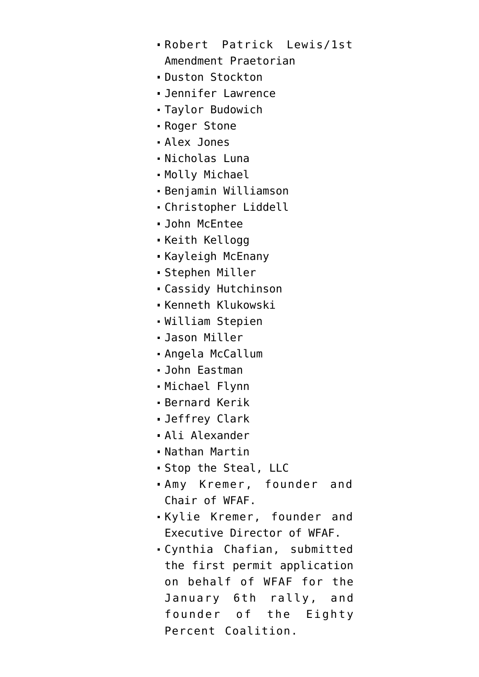- [Robert Patrick Lewis/1st](https://january6th.house.gov/sites/democrats.january6th.house.gov/files/20211123%20Robert%20Patrick%20Lewis%20Letter.pdf) [Amendment Praetorian](https://january6th.house.gov/sites/democrats.january6th.house.gov/files/20211123%20Robert%20Patrick%20Lewis%20Letter.pdf)
- [Duston Stockton](https://democrats-january6th.house.gov/sites/democrats.january6th.house.gov/files/Stockton%20Letter.pdf)
- [Jennifer Lawrence](https://democrats-january6th.house.gov/sites/democrats.january6th.house.gov/files/Lawrence%20Letter.pdf)
- [Taylor Budowich](https://january6th.house.gov/sites/democrats.january6th.house.gov/files/Budowich%20Letter.pdf)
- [Roger Stone](https://democrats-january6th.house.gov/sites/democrats.january6th.house.gov/files/20211122%20Stone%20Letter.pdf)
- [Alex Jones](https://democrats-january6th.house.gov/sites/democrats.january6th.house.gov/files/20211122%20Jones%20Letter.pdf)
- [Nicholas Luna](https://january6th.house.gov/sites/democrats.january6th.house.gov/files/20211109%20Luna.pdf)
- **[Molly Michael](https://january6th.house.gov/sites/democrats.january6th.house.gov/files/20211109%20Michael.pdf)**
- [Benjamin Williamson](https://january6th.house.gov/sites/democrats.january6th.house.gov/files/20211109%20Williamson.pdf)
- [Christopher Liddell](https://january6th.house.gov/sites/democrats.january6th.house.gov/files/20211109%20Liddell.pdf)
- [John McEntee](https://january6th.house.gov/sites/democrats.january6th.house.gov/files/20211109%20McEntee.pdf)
- **[Keith Kellogg](https://january6th.house.gov/sites/democrats.january6th.house.gov/files/20211109%20Kellogg.pdf)**
- [Kayleigh McEnany](https://january6th.house.gov/sites/democrats.january6th.house.gov/files/20211109%20McEnany.pdf)
- [Stephen Miller](https://january6th.house.gov/sites/democrats.january6th.house.gov/files/20211109%20Miller.pdf)
- [Cassidy Hutchinson](https://january6th.house.gov/sites/democrats.january6th.house.gov/files/20211109%20Hutchinson.pdf)
- [Kenneth Klukowski](https://january6th.house.gov/sites/democrats.january6th.house.gov/files/20211109%20Klukowski.pdf)
- [William Stepien](https://january6th.house.gov/sites/democrats.january6th.house.gov/files/20211108%20Stepien.pdf)
- [Jason Miller](https://january6th.house.gov/sites/democrats.january6th.house.gov/files/20211108%20Miller.pdf)
- [Angela McCallum](https://january6th.house.gov/sites/democrats.january6th.house.gov/files/20211108%20McCallum.pdf)
- [John Eastman](https://january6th.house.gov/sites/democrats.january6th.house.gov/files/20211108%20Eastman.pdf)
- [Michael Flynn](https://january6th.house.gov/sites/democrats.january6th.house.gov/files/20211108%20Flynn.pdf)
- Bernard Kerik
- [Jeffrey Clark](https://january6th.house.gov/sites/democrats.january6th.house.gov/files/211013%20Jeffrey%20Clark%20Letter.pdf)
- [Ali Alexander](https://january6th.house.gov/sites/democrats.january6th.house.gov/files/20211007%20Alexander%20Final.pdf)
- [Nathan Martin](https://january6th.house.gov/sites/democrats.january6th.house.gov/files/20211007%20Martin.pdf)
- [Stop the Steal, LLC](https://january6th.house.gov/sites/democrats.january6th.house.gov/files/20211007%20STS.pdf)
- [Amy Kremer](https://january6th.house.gov/sites/democrats.january6th.house.gov/files/210929%20Amy%20Kremer%20Letter.pdf), founder and Chair of WFAF.
- [Kylie Kremer,](https://january6th.house.gov/sites/democrats.january6th.house.gov/files/210929%20Kylie%20Jane%20Kremer%20Letter.pdf) founder and Executive Director of WFAF.
- [Cynthia Chafian](https://january6th.house.gov/sites/democrats.january6th.house.gov/files/210929%20Cynthia%20Lee%20Chafian%20Letter.pdf), submitted the first permit application on behalf of WFAF for the January 6th rally, and founder of the Eighty Percent Coalition.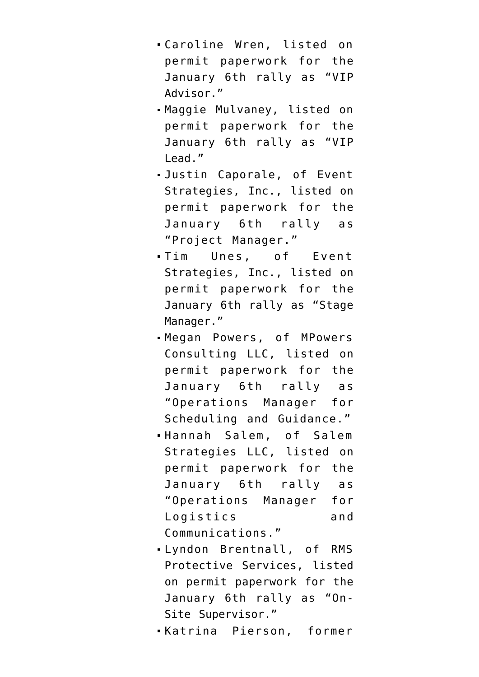- [Caroline Wren](https://january6th.house.gov/sites/democrats.january6th.house.gov/files/210929%20Caroline%20Wren%20Letter.pdf), listed on permit paperwork for the January 6th rally as "VIP Advisor."
- [Maggie Mulvaney](https://january6th.house.gov/sites/democrats.january6th.house.gov/files/210929%20Maggie%20Mulvaney%20Letter.pdf), listed on permit paperwork for the January 6th rally as "VIP Lead."
- [Justin Caporale,](https://january6th.house.gov/sites/democrats.january6th.house.gov/files/210929%20Justin%20Caporale%20Letter.pdf) of Event Strategies, Inc., listed on permit paperwork for the January 6th rally as "Project Manager."
- [Tim Unes](https://january6th.house.gov/sites/democrats.january6th.house.gov/files/210929%20Tim%20Unes%20Letter.pdf), of Event Strategies, Inc., listed on permit paperwork for the January 6th rally as "Stage Manager."
- [Megan Powers,](https://january6th.house.gov/sites/democrats.january6th.house.gov/files/210929%20Megan%20Powers%20Letter.pdf) of MPowers Consulting LLC, listed on permit paperwork for the January 6th rally as "Operations Manager for Scheduling and Guidance."
- [Hannah Salem](https://january6th.house.gov/sites/democrats.january6th.house.gov/files/210929%20Hannah%20Salem%20Stone%20Letter.pdf), of Salem Strategies LLC, listed on permit paperwork for the January 6th rally as "Operations Manager for Logistics and Communications."
- [Lyndon Brentnall,](https://january6th.house.gov/sites/democrats.january6th.house.gov/files/210929%20Lyndon%20Brentnall%20Letter.pdf) of RMS Protective Services, listed on permit paperwork for the January 6th rally as "On-Site Supervisor."
- [Katrina Pierson](https://january6th.house.gov/sites/democrats.january6th.house.gov/files/210929%20Katrina%20Pierson%20Letter.pdf), former